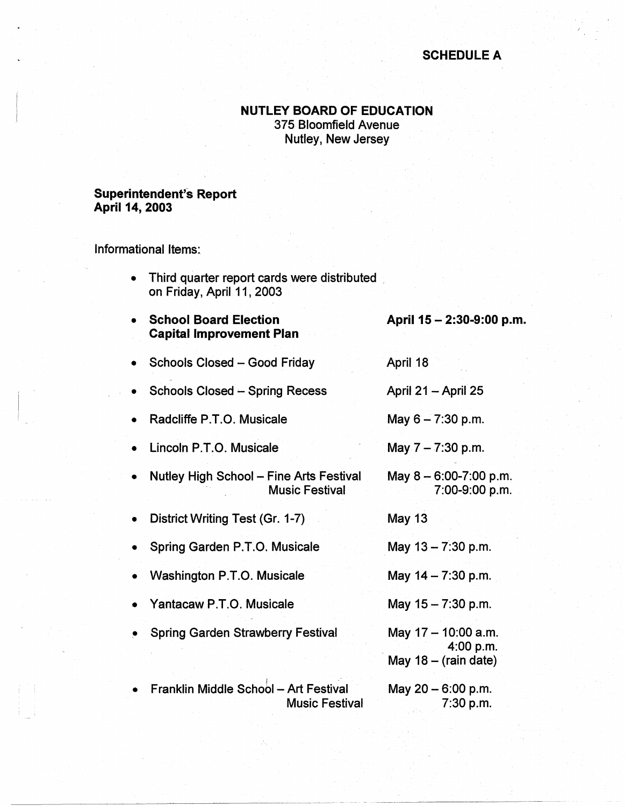## **SCHEDULE A**

## **NUTLEY BOARD OF EDUCATION**  375 Bloomfield Avenue

Nutley, New Jersey

## **Superintendent's Report April 14, 2003**

Informational Items:

- Third quarter report cards were distributed on Friday, April 11, 2003
- **School Board Election Capital Improvement Plan April 15** - **2:30-9:00 p.m.**
- Schools Closed Good Friday April 18
- Schools Closed -- Spring Recess April 21 -April 25
- Radcliffe P.T.O. Musicale May  $6 - 7:30$  p.m.
- Lincoln P.T.0. Musicale May  $7 - 7:30$  p.m.
- Nutley High School Fine Arts Festival Music Festival May  $8 - 6:00 - 7:00$  p.m. 7:00-9:00 p.m.
- District Writing Test (Gr. 1-7)
- Spring Garden P.T.O. Musicale May  $13 - 7:30$  p.m.
- Washington P.T.0. Musicale May  $14 - 7:30$  p.m.
- Yantacaw P.T.0. Musicale
- Spring Garden Strawberry Festival
- **Franklin Middle School Art Festival** Music Festival
- May  $17 10:00$  a.m. 4:00 p.m. May  $18 - (rain date)$ May  $20 - 6:00$  p.m.

May  $15 - 7:30$  p.m.

May 13

7:30 p.m.